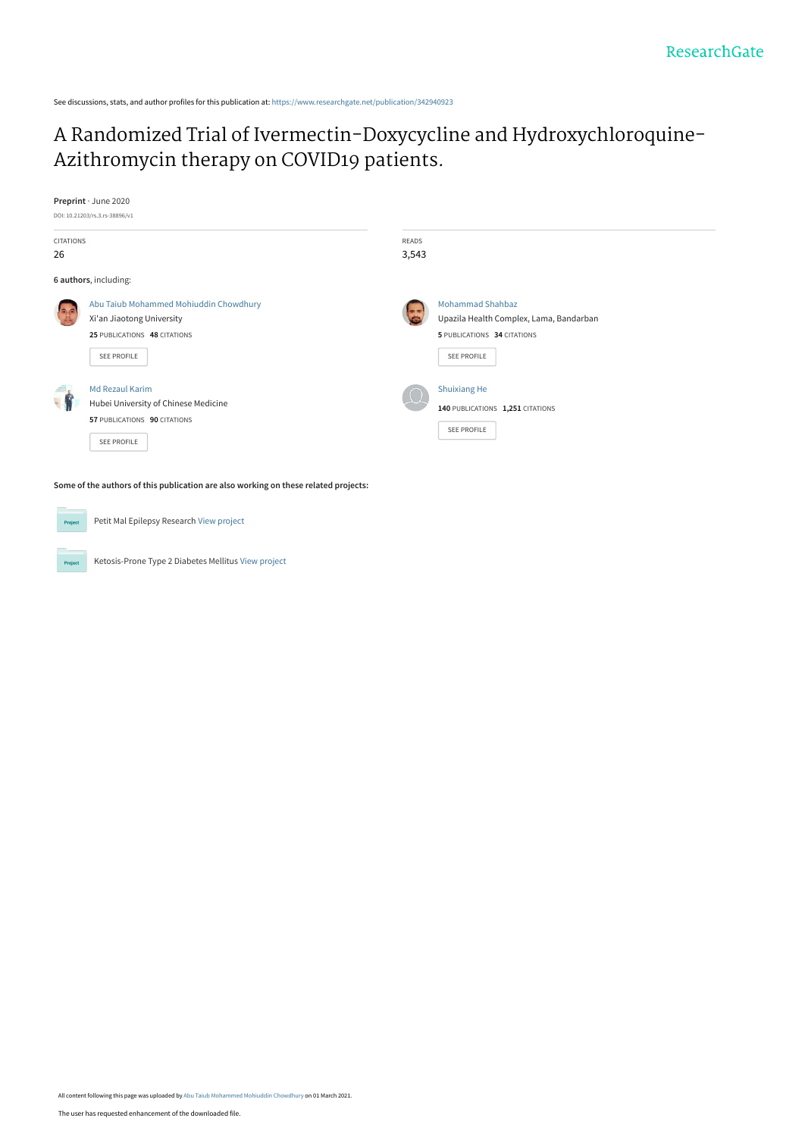See discussions, stats, and author profiles for this publication at: [https://www.researchgate.net/publication/342940923](https://www.researchgate.net/publication/342940923_A_Randomized_Trial_of_Ivermectin-Doxycycline_and_Hydroxychloroquine-Azithromycin_therapy_on_COVID19_patients?enrichId=rgreq-bf31b39b1c2882a97bac45042e080438-XXX&enrichSource=Y292ZXJQYWdlOzM0Mjk0MDkyMztBUzo5OTY1MDk0OTU1OTUwMjFAMTYxNDU5Nzc4NjQ2Mg%3D%3D&el=1_x_2&_esc=publicationCoverPdf)

# [A Randomized Trial of Ivermectin-Doxycycline and Hydroxychloroquine-](https://www.researchgate.net/publication/342940923_A_Randomized_Trial_of_Ivermectin-Doxycycline_and_Hydroxychloroquine-Azithromycin_therapy_on_COVID19_patients?enrichId=rgreq-bf31b39b1c2882a97bac45042e080438-XXX&enrichSource=Y292ZXJQYWdlOzM0Mjk0MDkyMztBUzo5OTY1MDk0OTU1OTUwMjFAMTYxNDU5Nzc4NjQ2Mg%3D%3D&el=1_x_3&_esc=publicationCoverPdf)Azithromycin therapy on COVID19 patients.



Ketosis-Prone Type 2 Diabetes Mellitus [View project](https://www.researchgate.net/project/Ketosis-Prone-Type-2-Diabetes-Mellitus?enrichId=rgreq-bf31b39b1c2882a97bac45042e080438-XXX&enrichSource=Y292ZXJQYWdlOzM0Mjk0MDkyMztBUzo5OTY1MDk0OTU1OTUwMjFAMTYxNDU5Nzc4NjQ2Mg%3D%3D&el=1_x_9&_esc=publicationCoverPdf)

Project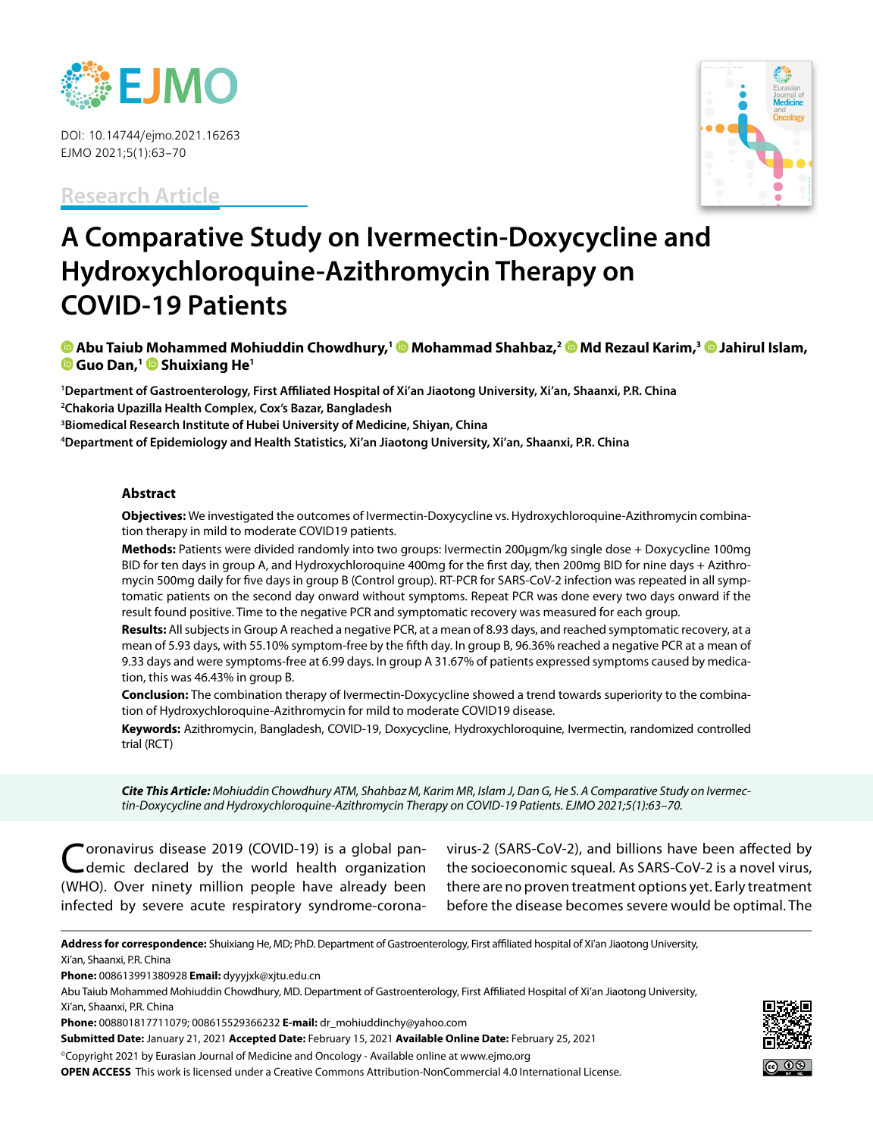

DOI: 10.14744/ejmo.2021.16263 EJMO 2021;5(1):63–70

**Research Article**



# **A Comparative Study on Ivermectin-Doxycycline and Hydroxychloroquine-Azithromycin Therapy on COVID-19 Patients**

**<b>a** Abu Taiub Mohammed Mohiuddin Chowdhury,<sup>1</sup> @ Mohammad Shahbaz,<sup>2</sup> @ Md Rezaul Karim,<sup>3</sup> @ Jahirul Islam, **C** Guo Dan,<sup>1</sup> C Shuixiang He<sup>1</sup>

**1 Department of Gastroenterology, First Affiliated Hospital of Xi'an Jiaotong University, Xi'an, Shaanxi, P.R. China 2 Chakoria Upazilla Health Complex, Cox's Bazar, Bangladesh 3 Biomedical Research Institute of Hubei University of Medicine, Shiyan, China**

**4 Department of Epidemiology and Health Statistics, Xi'an Jiaotong University, Xi'an, Shaanxi, P.R. China**

#### **Abstract**

**Objectives:** We investigated the outcomes of Ivermectin-Doxycycline vs. Hydroxychloroquine-Azithromycin combination therapy in mild to moderate COVID19 patients.

**Methods:** Patients were divided randomly into two groups: Ivermectin 200µgm/kg single dose + Doxycycline 100mg BID for ten days in group A, and Hydroxychloroquine 400mg for the first day, then 200mg BID for nine days + Azithromycin 500mg daily for five days in group B (Control group). RT-PCR for SARS-CoV-2 infection was repeated in all symptomatic patients on the second day onward without symptoms. Repeat PCR was done every two days onward if the result found positive. Time to the negative PCR and symptomatic recovery was measured for each group.

**Results:** All subjects in Group A reached a negative PCR, at a mean of 8.93 days, and reached symptomatic recovery, at a mean of 5.93 days, with 55.10% symptom-free by the fifth day. In group B, 96.36% reached a negative PCR at a mean of 9.33 days and were symptoms-free at 6.99 days. In group A 31.67% of patients expressed symptoms caused by medication, this was 46.43% in group B.

**Conclusion:** The combination therapy of Ivermectin-Doxycycline showed a trend towards superiority to the combination of Hydroxychloroquine-Azithromycin for mild to moderate COVID19 disease.

**Keywords:** Azithromycin, Bangladesh, COVID-19, Doxycycline, Hydroxychloroquine, Ivermectin, randomized controlled trial (RCT)

*Cite This Article: Mohiuddin Chowdhury ATM, Shahbaz M, Karim MR, Islam J, Dan G, He S. A Comparative Study on Ivermectin-Doxycycline and Hydroxychloroquine-Azithromycin Therapy on COVID-19 Patients. EJMO 2021;5(1):63–70.*

oronavirus disease 2019 (COVID-19) is a global pandemic declared by the world health organization (WHO). Over ninety million people have already been infected by severe acute respiratory syndrome‐corona-

virus‐2 (SARS-CoV-2), and billions have been affected by the socioeconomic squeal. As SARS-CoV-2 is a novel virus, there are no proven treatment options yet. Early treatment before the disease becomes severe would be optimal. The

**Address for correspondence:** Shuixiang He, MD; PhD. Department of Gastroenterology, First affiliated hospital of Xi'an Jiaotong University, Xi'an, Shaanxi, P.R. China

**Phone:** 008613991380928 **Email:** dyyyjxk@xjtu.edu.cn

**Submitted Date:** January 21, 2021 **Accepted Date:** February 15, 2021 **Available Online Date:** February 25, 2021

©Copyright 2021 by Eurasian Journal of Medicine and Oncology - Available online at www.ejmo.org

**OPEN ACCESS** This work is licensed under a Creative Commons Attribution-NonCommercial 4.0 International License.



Abu Taiub Mohammed Mohiuddin Chowdhury, MD. Department of Gastroenterology, First Affiliated Hospital of Xi'an Jiaotong University,

Xi'an, Shaanxi, P.R. China

**Phone:** 008801817711079; 008615529366232 **E-mail:** dr\_mohiuddinchy@yahoo.com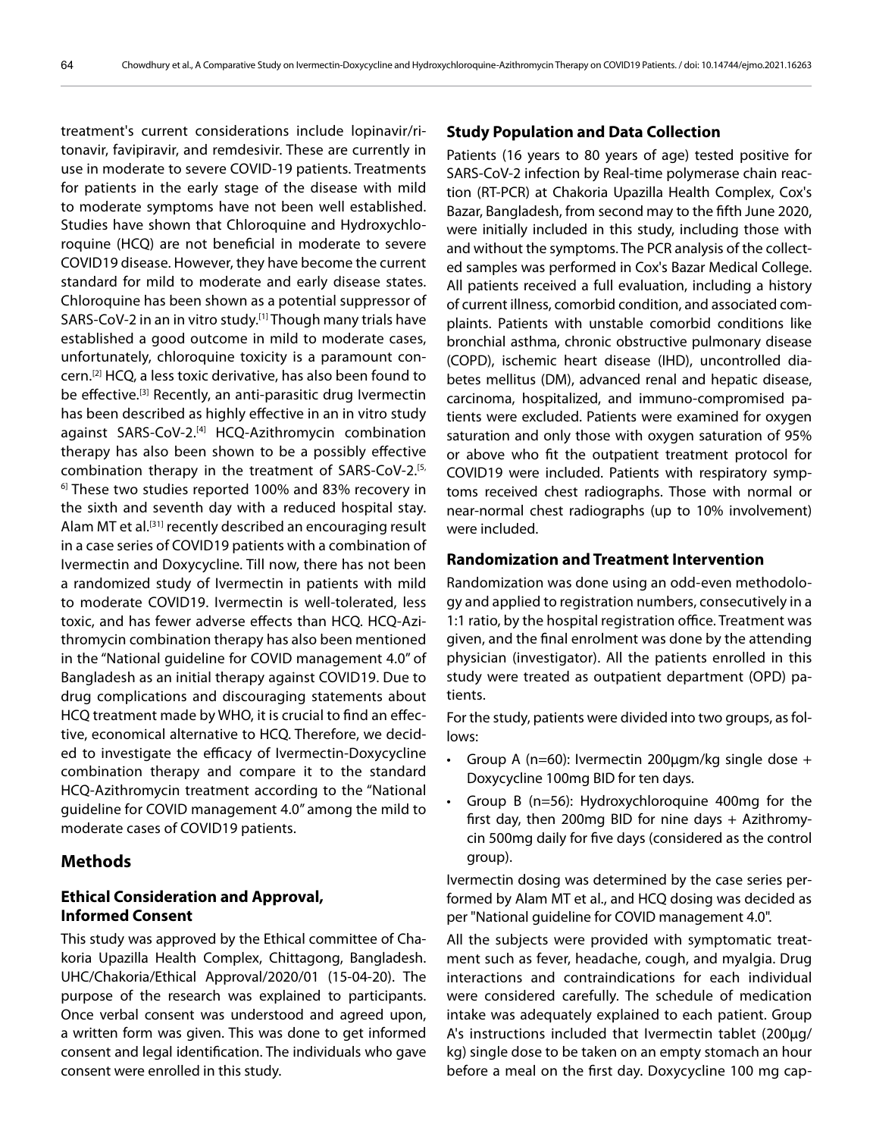treatment's current considerations include lopinavir/ritonavir, favipiravir, and remdesivir. These are currently in use in moderate to severe COVID-19 patients. Treatments for patients in the early stage of the disease with mild to moderate symptoms have not been well established. Studies have shown that Chloroquine and Hydroxychloroquine (HCQ) are not beneficial in moderate to severe COVID19 disease. However, they have become the current standard for mild to moderate and early disease states. Chloroquine has been shown as a potential suppressor of SARS-CoV-2 in an in vitro study.[1] Though many trials have established a good outcome in mild to moderate cases, unfortunately, chloroquine toxicity is a paramount concern.[2] HCQ, a less toxic derivative, has also been found to be effective.<sup>[3]</sup> Recently, an anti-parasitic drug Ivermectin has been described as highly effective in an in vitro study against SARS-CoV-2.<sup>[4]</sup> HCQ-Azithromycin combination therapy has also been shown to be a possibly effective combination therapy in the treatment of SARS-CoV-2.<sup>[5,</sup>  $6$  These two studies reported 100% and 83% recovery in the sixth and seventh day with a reduced hospital stay. Alam MT et al.[31] recently described an encouraging result in a case series of COVID19 patients with a combination of Ivermectin and Doxycycline. Till now, there has not been a randomized study of Ivermectin in patients with mild to moderate COVID19. Ivermectin is well-tolerated, less toxic, and has fewer adverse effects than HCQ. HCQ-Azithromycin combination therapy has also been mentioned in the "National guideline for COVID management 4.0" of Bangladesh as an initial therapy against COVID19. Due to drug complications and discouraging statements about HCQ treatment made by WHO, it is crucial to find an effective, economical alternative to HCQ. Therefore, we decided to investigate the efficacy of Ivermectin-Doxycycline combination therapy and compare it to the standard HCQ-Azithromycin treatment according to the "National guideline for COVID management 4.0" among the mild to moderate cases of COVID19 patients.

## **Methods**

# **Ethical Consideration and Approval, Informed Consent**

This study was approved by the Ethical committee of Chakoria Upazilla Health Complex, Chittagong, Bangladesh. UHC/Chakoria/Ethical Approval/2020/01 (15-04-20). The purpose of the research was explained to participants. Once verbal consent was understood and agreed upon, a written form was given. This was done to get informed consent and legal identification. The individuals who gave consent were enrolled in this study.

#### **Study Population and Data Collection**

Patients (16 years to 80 years of age) tested positive for SARS-CoV-2 infection by Real-time polymerase chain reaction (RT-PCR) at Chakoria Upazilla Health Complex, Cox's Bazar, Bangladesh, from second may to the fifth June 2020, were initially included in this study, including those with and without the symptoms. The PCR analysis of the collected samples was performed in Cox's Bazar Medical College. All patients received a full evaluation, including a history of current illness, comorbid condition, and associated complaints. Patients with unstable comorbid conditions like bronchial asthma, chronic obstructive pulmonary disease (COPD), ischemic heart disease (IHD), uncontrolled diabetes mellitus (DM), advanced renal and hepatic disease, carcinoma, hospitalized, and immuno-compromised patients were excluded. Patients were examined for oxygen saturation and only those with oxygen saturation of 95% or above who fit the outpatient treatment protocol for COVID19 were included. Patients with respiratory symptoms received chest radiographs. Those with normal or near-normal chest radiographs (up to 10% involvement) were included.

# **Randomization and Treatment Intervention**

Randomization was done using an odd-even methodology and applied to registration numbers, consecutively in a 1:1 ratio, by the hospital registration office. Treatment was given, and the final enrolment was done by the attending physician (investigator). All the patients enrolled in this study were treated as outpatient department (OPD) patients.

For the study, patients were divided into two groups, as follows:

- Group A ( $n=60$ ): Ivermectin 200 $\mu$ gm/kg single dose + Doxycycline 100mg BID for ten days.
- Group B (n=56): Hydroxychloroquine 400mg for the first day, then 200mg BID for nine days + Azithromycin 500mg daily for five days (considered as the control group).

Ivermectin dosing was determined by the case series performed by Alam MT et al., and HCQ dosing was decided as per "National guideline for COVID management 4.0".

All the subjects were provided with symptomatic treatment such as fever, headache, cough, and myalgia. Drug interactions and contraindications for each individual were considered carefully. The schedule of medication intake was adequately explained to each patient. Group A's instructions included that Ivermectin tablet (200µg/ kg) single dose to be taken on an empty stomach an hour before a meal on the first day. Doxycycline 100 mg cap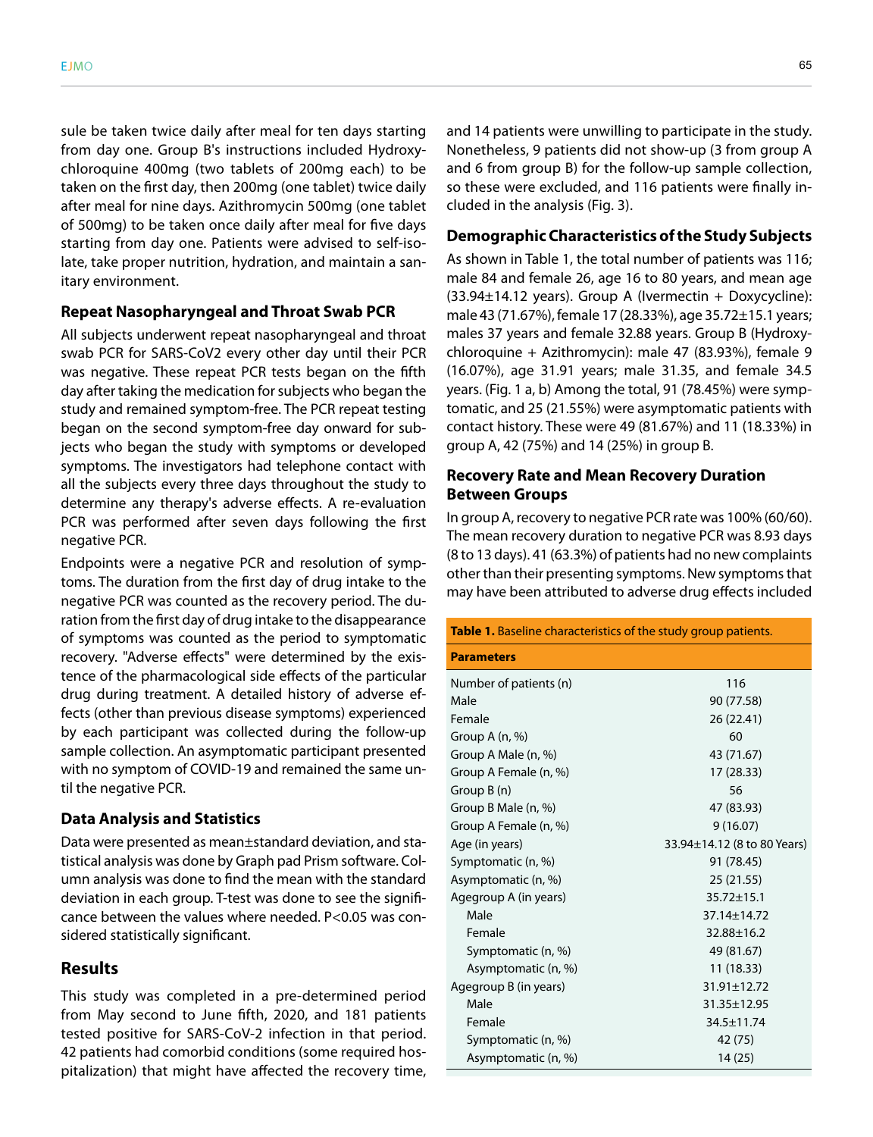sule be taken twice daily after meal for ten days starting from day one. Group B's instructions included Hydroxychloroquine 400mg (two tablets of 200mg each) to be taken on the first day, then 200mg (one tablet) twice daily after meal for nine days. Azithromycin 500mg (one tablet of 500mg) to be taken once daily after meal for five days starting from day one. Patients were advised to self-isolate, take proper nutrition, hydration, and maintain a sanitary environment.

#### **Repeat Nasopharyngeal and Throat Swab PCR**

All subjects underwent repeat nasopharyngeal and throat swab PCR for SARS-CoV2 every other day until their PCR was negative. These repeat PCR tests began on the fifth day after taking the medication for subjects who began the study and remained symptom-free. The PCR repeat testing began on the second symptom-free day onward for subjects who began the study with symptoms or developed symptoms. The investigators had telephone contact with all the subjects every three days throughout the study to determine any therapy's adverse effects. A re-evaluation PCR was performed after seven days following the first negative PCR.

Endpoints were a negative PCR and resolution of symptoms. The duration from the first day of drug intake to the negative PCR was counted as the recovery period. The duration from the first day of drug intake to the disappearance of symptoms was counted as the period to symptomatic recovery. "Adverse effects" were determined by the existence of the pharmacological side effects of the particular drug during treatment. A detailed history of adverse effects (other than previous disease symptoms) experienced by each participant was collected during the follow-up sample collection. An asymptomatic participant presented with no symptom of COVID-19 and remained the same until the negative PCR.

#### **Data Analysis and Statistics**

Data were presented as mean±standard deviation, and statistical analysis was done by Graph pad Prism software. Column analysis was done to find the mean with the standard deviation in each group. T-test was done to see the significance between the values where needed. P<0.05 was considered statistically significant.

### **Results**

This study was completed in a pre-determined period from May second to June fifth, 2020, and 181 patients tested positive for SARS-CoV-2 infection in that period. 42 patients had comorbid conditions (some required hospitalization) that might have affected the recovery time,

and 14 patients were unwilling to participate in the study. Nonetheless, 9 patients did not show-up (3 from group A and 6 from group B) for the follow-up sample collection, so these were excluded, and 116 patients were finally included in the analysis (Fig. 3).

#### **Demographic Characteristics of the Study Subjects**

As shown in Table 1, the total number of patients was 116; male 84 and female 26, age 16 to 80 years, and mean age (33.94±14.12 years). Group A (Ivermectin + Doxycycline): male 43 (71.67%), female 17 (28.33%), age 35.72±15.1 years; males 37 years and female 32.88 years. Group B (Hydroxychloroquine + Azithromycin): male 47 (83.93%), female 9 (16.07%), age 31.91 years; male 31.35, and female 34.5 years. (Fig. 1 a, b) Among the total, 91 (78.45%) were symptomatic, and 25 (21.55%) were asymptomatic patients with contact history. These were 49 (81.67%) and 11 (18.33%) in group A, 42 (75%) and 14 (25%) in group B.

# **Recovery Rate and Mean Recovery Duration Between Groups**

In group A, recovery to negative PCR rate was 100% (60/60). The mean recovery duration to negative PCR was 8.93 days (8 to 13 days). 41 (63.3%) of patients had no new complaints other than their presenting symptoms. New symptoms that may have been attributed to adverse drug effects included

| Table 1. Baseline characteristics of the study group patients. |                             |
|----------------------------------------------------------------|-----------------------------|
| <b>Parameters</b>                                              |                             |
| Number of patients (n)                                         | 116                         |
| Male                                                           | 90 (77.58)                  |
| Female                                                         | 26 (22.41)                  |
| Group A (n, %)                                                 | 60                          |
| Group A Male (n, %)                                            | 43 (71.67)                  |
| Group A Female (n, %)                                          | 17 (28.33)                  |
| Group $B(n)$                                                   | 56                          |
| Group B Male (n, %)                                            | 47 (83.93)                  |
| Group A Female (n, %)                                          | 9(16.07)                    |
| Age (in years)                                                 | 33.94±14.12 (8 to 80 Years) |
| Symptomatic (n, %)                                             | 91 (78.45)                  |
| Asymptomatic (n, %)                                            | 25 (21.55)                  |
| Agegroup A (in years)                                          | 35.72±15.1                  |
| Male                                                           | 37.14±14.72                 |
| Female                                                         | 32.88±16.2                  |
| Symptomatic (n, %)                                             | 49 (81.67)                  |
| Asymptomatic (n, %)                                            | 11 (18.33)                  |
| Agegroup B (in years)                                          | 31.91±12.72                 |
| Male                                                           | 31.35±12.95                 |
| Female                                                         | 34.5±11.74                  |
| Symptomatic (n, %)                                             | 42 (75)                     |
| Asymptomatic (n, %)                                            | 14 (25)                     |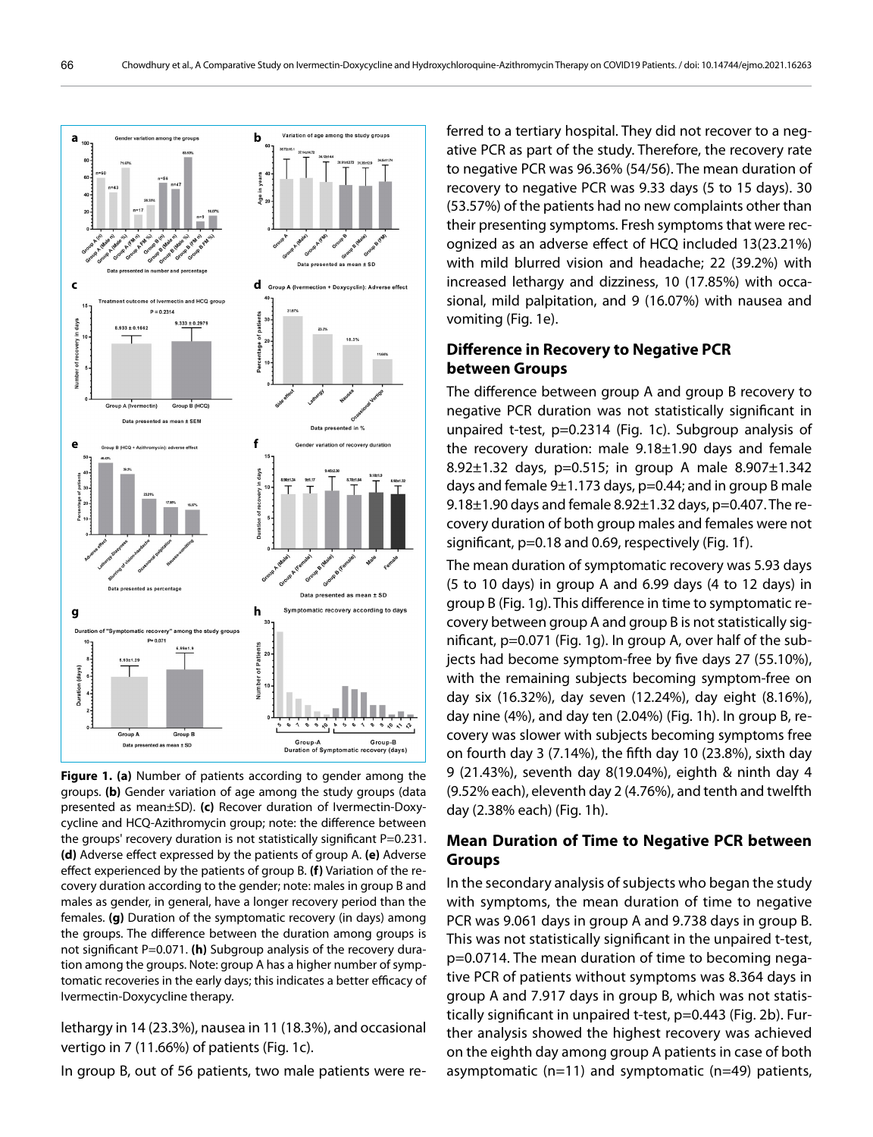

**Figure 1. (a)** Number of patients according to gender among the groups. **(b)** Gender variation of age among the study groups (data presented as mean±SD). **(c)** Recover duration of Ivermectin-Doxycycline and HCQ-Azithromycin group; note: the difference between the groups' recovery duration is not statistically significant P=0.231. **(d)** Adverse effect expressed by the patients of group A. **(e)** Adverse effect experienced by the patients of group B. **(f)** Variation of the recovery duration according to the gender; note: males in group B and males as gender, in general, have a longer recovery period than the females. **(g)** Duration of the symptomatic recovery (in days) among the groups. The difference between the duration among groups is not significant P=0.071. (h) Subgroup analysis of the recovery duration among the groups. Note: group A has a higher number of symptomatic recoveries in the early days; this indicates a better efficacy of Ivermectin-Doxycycline therapy.

lethargy in 14 (23.3%), nausea in 11 (18.3%), and occasional vertigo in 7 (11.66%) of patients (Fig. 1c).

In group B, out of 56 patients, two male patients were re-

ferred to a tertiary hospital. They did not recover to a negative PCR as part of the study. Therefore, the recovery rate to negative PCR was 96.36% (54/56). The mean duration of recovery to negative PCR was 9.33 days (5 to 15 days). 30 (53.57%) of the patients had no new complaints other than their presenting symptoms. Fresh symptoms that were recognized as an adverse effect of HCQ included 13(23.21%) with mild blurred vision and headache; 22 (39.2%) with increased lethargy and dizziness, 10 (17.85%) with occasional, mild palpitation, and 9 (16.07%) with nausea and vomiting (Fig. 1e).

# **Difference in Recovery to Negative PCR between Groups**

The difference between group A and group B recovery to negative PCR duration was not statistically significant in unpaired t-test, p=0.2314 (Fig. 1c). Subgroup analysis of the recovery duration: male 9.18±1.90 days and female 8.92±1.32 days, p=0.515; in group A male 8.907±1.342 days and female  $9\pm1.173$  days,  $p=0.44$ ; and in group B male 9.18±1.90 days and female 8.92±1.32 days, p=0.407. The recovery duration of both group males and females were not significant, p=0.18 and 0.69, respectively (Fig. 1f).

The mean duration of symptomatic recovery was 5.93 days (5 to 10 days) in group A and 6.99 days (4 to 12 days) in group B (Fig. 1g). This difference in time to symptomatic recovery between group A and group B is not statistically significant, p=0.071 (Fig. 1g). In group A, over half of the subjects had become symptom-free by five days 27 (55.10%), with the remaining subjects becoming symptom-free on day six (16.32%), day seven (12.24%), day eight (8.16%), day nine (4%), and day ten (2.04%) (Fig. 1h). In group B, recovery was slower with subjects becoming symptoms free on fourth day 3 (7.14%), the fifth day 10 (23.8%), sixth day 9 (21.43%), seventh day 8(19.04%), eighth & ninth day 4 (9.52% each), eleventh day 2 (4.76%), and tenth and twelfth day (2.38% each) (Fig. 1h).

# **Mean Duration of Time to Negative PCR between Groups**

In the secondary analysis of subjects who began the study with symptoms, the mean duration of time to negative PCR was 9.061 days in group A and 9.738 days in group B. This was not statistically significant in the unpaired t-test, p=0.0714. The mean duration of time to becoming negative PCR of patients without symptoms was 8.364 days in group A and 7.917 days in group B, which was not statistically significant in unpaired t-test, p=0.443 (Fig. 2b). Further analysis showed the highest recovery was achieved on the eighth day among group A patients in case of both asymptomatic (n=11) and symptomatic (n=49) patients,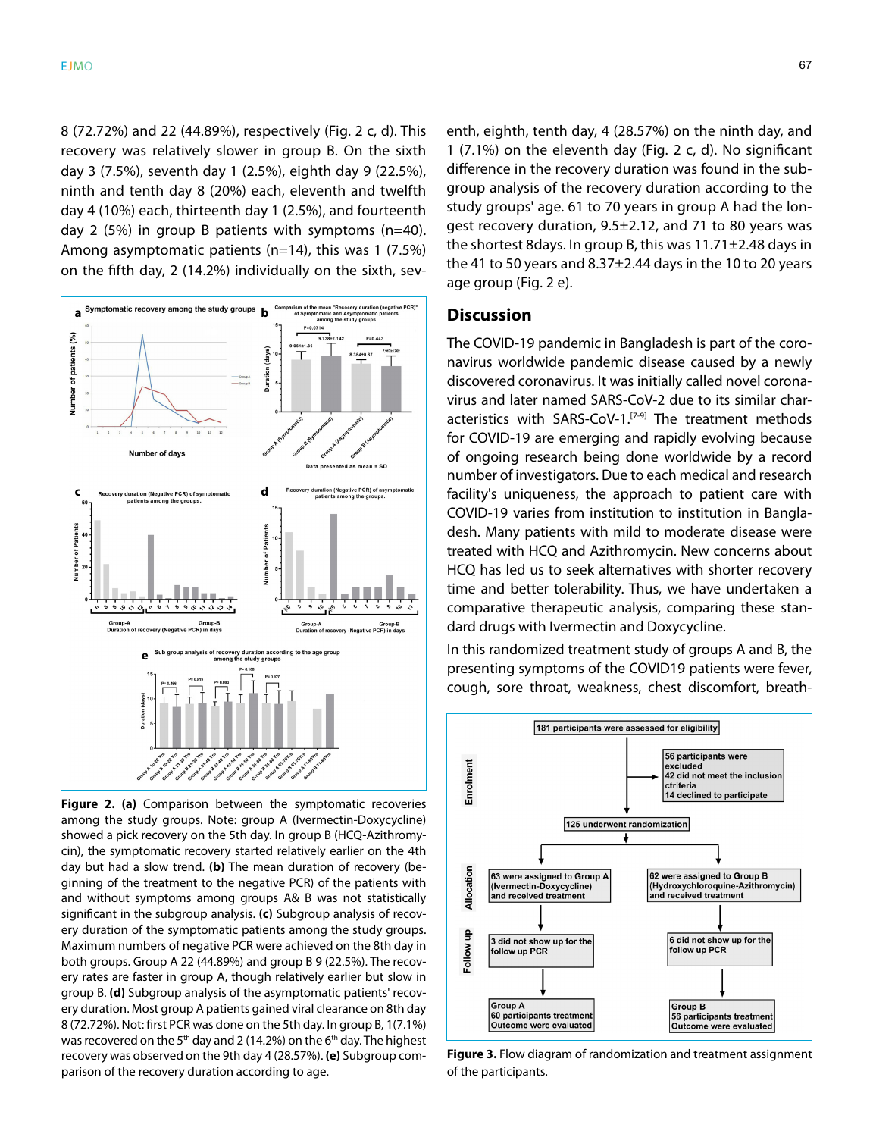8 (72.72%) and 22 (44.89%), respectively (Fig. 2 c, d). This recovery was relatively slower in group B. On the sixth day 3 (7.5%), seventh day 1 (2.5%), eighth day 9 (22.5%), ninth and tenth day 8 (20%) each, eleventh and twelfth day 4 (10%) each, thirteenth day 1 (2.5%), and fourteenth day 2 (5%) in group B patients with symptoms (n=40). Among asymptomatic patients (n=14), this was 1 (7.5%) on the fifth day, 2 (14.2%) individually on the sixth, sev-



**Figure 2. (a)** Comparison between the symptomatic recoveries among the study groups. Note: group A (Ivermectin-Doxycycline) showed a pick recovery on the 5th day. In group B (HCQ-Azithromycin), the symptomatic recovery started relatively earlier on the 4th day but had a slow trend. **(b)** The mean duration of recovery (beginning of the treatment to the negative PCR) of the patients with and without symptoms among groups A& B was not statistically significant in the subgroup analysis. **(c)** Subgroup analysis of recovery duration of the symptomatic patients among the study groups. Maximum numbers of negative PCR were achieved on the 8th day in both groups. Group A 22 (44.89%) and group B 9 (22.5%). The recovery rates are faster in group A, though relatively earlier but slow in group B. **(d)** Subgroup analysis of the asymptomatic patients' recovery duration. Most group A patients gained viral clearance on 8th day 8 (72.72%). Not: first PCR was done on the 5th day. In group B, 1(7.1%) was recovered on the 5<sup>th</sup> day and 2 (14.2%) on the 6<sup>th</sup> day. The highest recovery was observed on the 9th day 4 (28.57%). **(e)** Subgroup comparison of the recovery duration according to age.

enth, eighth, tenth day, 4 (28.57%) on the ninth day, and 1 (7.1%) on the eleventh day (Fig. 2 c, d). No significant difference in the recovery duration was found in the subgroup analysis of the recovery duration according to the study groups' age. 61 to 70 years in group A had the longest recovery duration, 9.5±2.12, and 71 to 80 years was the shortest 8days. In group B, this was 11.71±2.48 days in the 41 to 50 years and 8.37±2.44 days in the 10 to 20 years age group (Fig. 2 e).

# **Discussion**

The COVID-19 pandemic in Bangladesh is part of the coronavirus worldwide pandemic disease caused by a newly discovered coronavirus. It was initially called novel coronavirus and later named SARS-CoV-2 due to its similar characteristics with SARS-CoV-1.<sup>[7-9]</sup> The treatment methods for COVID-19 are emerging and rapidly evolving because of ongoing research being done worldwide by a record number of investigators. Due to each medical and research facility's uniqueness, the approach to patient care with COVID-19 varies from institution to institution in Bangladesh. Many patients with mild to moderate disease were treated with HCQ and Azithromycin. New concerns about HCQ has led us to seek alternatives with shorter recovery time and better tolerability. Thus, we have undertaken a comparative therapeutic analysis, comparing these standard drugs with Ivermectin and Doxycycline.

In this randomized treatment study of groups A and B, the presenting symptoms of the COVID19 patients were fever, cough, sore throat, weakness, chest discomfort, breath-



**Figure 3.** Flow diagram of randomization and treatment assignment of the participants.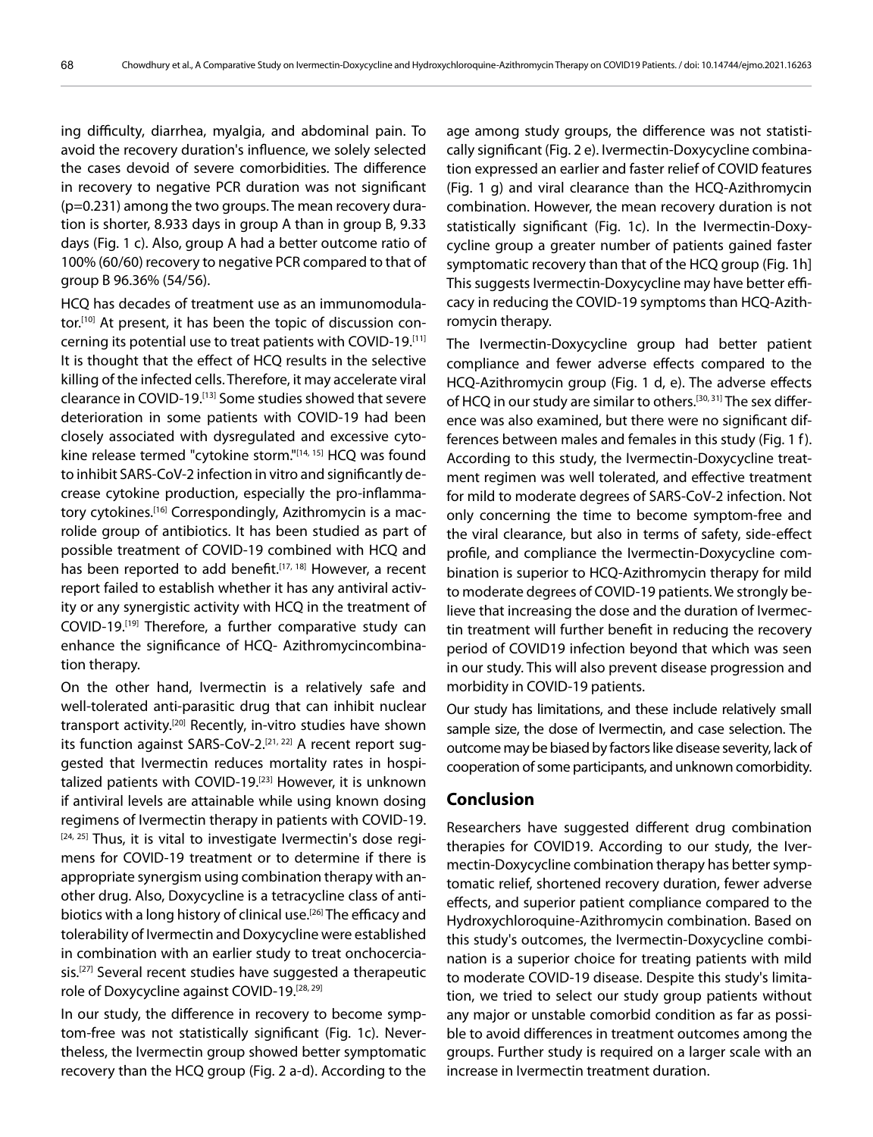ing difficulty, diarrhea, myalgia, and abdominal pain. To avoid the recovery duration's influence, we solely selected the cases devoid of severe comorbidities. The difference in recovery to negative PCR duration was not significant (p=0.231) among the two groups. The mean recovery duration is shorter, 8.933 days in group A than in group B, 9.33 days (Fig. 1 c). Also, group A had a better outcome ratio of 100% (60/60) recovery to negative PCR compared to that of group B 96.36% (54/56).

HCQ has decades of treatment use as an immunomodulator.<sup>[10]</sup> At present, it has been the topic of discussion concerning its potential use to treat patients with COVID-19.[11] It is thought that the effect of HCQ results in the selective killing of the infected cells. Therefore, it may accelerate viral clearance in COVID-19.[13] Some studies showed that severe deterioration in some patients with COVID-19 had been closely associated with dysregulated and excessive cytokine release termed "cytokine storm."[14, 15] HCQ was found to inhibit SARS-CoV-2 infection in vitro and significantly decrease cytokine production, especially the pro-inflammatory cytokines.<sup>[16]</sup> Correspondingly, Azithromycin is a macrolide group of antibiotics. It has been studied as part of possible treatment of COVID-19 combined with HCQ and has been reported to add benefit.<sup>[17, 18]</sup> However, a recent report failed to establish whether it has any antiviral activity or any synergistic activity with HCQ in the treatment of COVID-19.<sup>[19]</sup> Therefore, a further comparative study can enhance the significance of HCQ- Azithromycincombination therapy.

On the other hand, Ivermectin is a relatively safe and well-tolerated anti-parasitic drug that can inhibit nuclear transport activity.<sup>[20]</sup> Recently, in-vitro studies have shown its function against SARS-CoV-2.<sup>[21, 22]</sup> A recent report suggested that Ivermectin reduces mortality rates in hospitalized patients with COVID-19.<sup>[23]</sup> However, it is unknown if antiviral levels are attainable while using known dosing regimens of Ivermectin therapy in patients with COVID-19.  $[24, 25]$  Thus, it is vital to investigate Ivermectin's dose regimens for COVID-19 treatment or to determine if there is appropriate synergism using combination therapy with another drug. Also, Doxycycline is a tetracycline class of antibiotics with a long history of clinical use.<sup>[26]</sup> The efficacy and tolerability of Ivermectin and Doxycycline were established in combination with an earlier study to treat onchocerciasis.<sup>[27]</sup> Several recent studies have suggested a therapeutic role of Doxycycline against COVID-19.<sup>[28, 29]</sup>

In our study, the difference in recovery to become symptom-free was not statistically significant (Fig. 1c). Nevertheless, the Ivermectin group showed better symptomatic recovery than the HCQ group (Fig. 2 a-d). According to the age among study groups, the difference was not statistically significant (Fig. 2 e). Ivermectin-Doxycycline combination expressed an earlier and faster relief of COVID features (Fig. 1 g) and viral clearance than the HCQ-Azithromycin combination. However, the mean recovery duration is not statistically significant (Fig. 1c). In the Ivermectin-Doxycycline group a greater number of patients gained faster symptomatic recovery than that of the HCQ group (Fig. 1h] This suggests Ivermectin-Doxycycline may have better efficacy in reducing the COVID-19 symptoms than HCQ-Azithromycin therapy.

The Ivermectin-Doxycycline group had better patient compliance and fewer adverse effects compared to the HCQ-Azithromycin group (Fig. 1 d, e). The adverse effects of HCQ in our study are similar to others.[30, 31] The sex difference was also examined, but there were no significant differences between males and females in this study (Fig. 1 f). According to this study, the Ivermectin-Doxycycline treatment regimen was well tolerated, and effective treatment for mild to moderate degrees of SARS-CoV-2 infection. Not only concerning the time to become symptom-free and the viral clearance, but also in terms of safety, side-effect profile, and compliance the Ivermectin-Doxycycline combination is superior to HCQ-Azithromycin therapy for mild to moderate degrees of COVID-19 patients. We strongly believe that increasing the dose and the duration of Ivermectin treatment will further benefit in reducing the recovery period of COVID19 infection beyond that which was seen in our study. This will also prevent disease progression and morbidity in COVID-19 patients.

Our study has limitations, and these include relatively small sample size, the dose of Ivermectin, and case selection. The outcome may be biased by factors like disease severity, lack of cooperation of some participants, and unknown comorbidity.

# **Conclusion**

Researchers have suggested different drug combination therapies for COVID19. According to our study, the Ivermectin-Doxycycline combination therapy has better symptomatic relief, shortened recovery duration, fewer adverse effects, and superior patient compliance compared to the Hydroxychloroquine-Azithromycin combination. Based on this study's outcomes, the Ivermectin-Doxycycline combination is a superior choice for treating patients with mild to moderate COVID-19 disease. Despite this study's limitation, we tried to select our study group patients without any major or unstable comorbid condition as far as possible to avoid differences in treatment outcomes among the groups. Further study is required on a larger scale with an increase in Ivermectin treatment duration.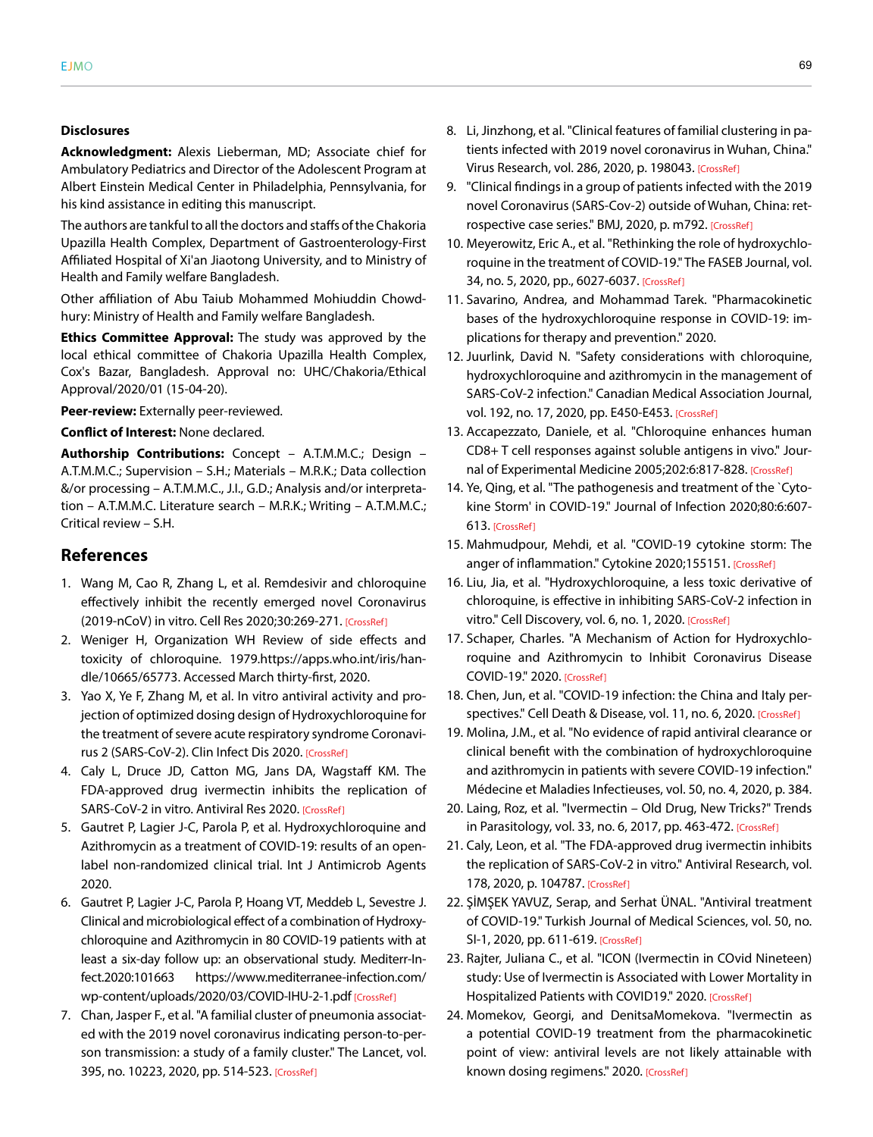#### **Disclosures**

**Acknowledgment:** Alexis Lieberman, MD; Associate chief for Ambulatory Pediatrics and Director of the Adolescent Program at Albert Einstein Medical Center in Philadelphia, Pennsylvania, for his kind assistance in editing this manuscript.

The authors are tankful to all the doctors and staffs of the Chakoria Upazilla Health Complex, Department of Gastroenterology-First Affiliated Hospital of Xi'an Jiaotong University, and to Ministry of Health and Family welfare Bangladesh.

Other affiliation of Abu Taiub Mohammed Mohiuddin Chowdhury: Ministry of Health and Family welfare Bangladesh.

**Ethics Committee Approval:** The study was approved by the local ethical committee of Chakoria Upazilla Health Complex, Cox's Bazar, Bangladesh. Approval no: UHC/Chakoria/Ethical Approval/2020/01 (15-04-20).

**Peer-review:** Externally peer-reviewed.

#### **Conflict of Interest:** None declared.

**Authorship Contributions:** Concept – A.T.M.M.C.; Design – A.T.M.M.C.; Supervision – S.H.; Materials – M.R.K.; Data collection &/or processing – A.T.M.M.C., J.I., G.D.; Analysis and/or interpretation – A.T.M.M.C. Literature search – M.R.K.; Writing – A.T.M.M.C.; Critical review – S.H.

# **References**

- 1. Wang M, Cao R, Zhang L, et al. Remdesivir and chloroquine effectively inhibit the recently emerged novel Coronavirus (2019‐nCoV) in vitro. Cell Res 2020;30:269‐271. [\[CrossRef\]](https://doi.org/10.1038/s41422-020-0282-0)
- 2. Weniger H, Organization WH Review of side effects and toxicity of chloroquine. 1979.https://apps.who.int/iris/handle/10665/65773. Accessed March thirty-first, 2020.
- 3. Yao X, Ye F, Zhang M, et al. In vitro antiviral activity and projection of optimized dosing design of Hydroxychloroquine for the treatment of severe acute respiratory syndrome Coronavirus 2 (SARS‐CoV‐2). Clin Infect Dis 20[20. \[CrossRef\]](https://doi.org/10.1093/cid/ciaa237)
- 4. Caly L, Druce JD, Catton MG, Jans DA, Wagstaff KM. The FDA-approved drug ivermectin inhibits the replication of SARS-CoV-2 in vitro. Antiviral Res 202[0. \[CrossRef\]](https://doi.org/10.1016/j.antiviral.2020.104787)
- 5. Gautret P, Lagier J-C, Parola P, et al. Hydroxychloroquine and Azithromycin as a treatment of COVID‐19: results of an open‐ label non-randomized clinical trial. Int J Antimicrob Agents 2020.
- 6. Gautret P, Lagier J‐C, Parola P, Hoang VT, Meddeb L, Sevestre J. Clinical and microbiological effect of a combination of Hydroxychloroquine and Azithromycin in 80 COVID‐19 patients with at least a six‐day follow up: an observational study. Mediterr‐Infect.2020:101663 https://www.mediterranee-infection.com/ wp-content/uploads/2020/03/COVID-IHU-2-1.pd[f \[CrossRef\]](https://doi.org/10.1016/j.tmaid.2020.101663)
- 7. Chan, Jasper F., et al. "A familial cluster of pneumonia associated with the 2019 novel coronavirus indicating person-to-person transmission: a study of a family cluster." The Lancet, vol. 395, no. 10223, 2020, pp. 514-5[23. \[CrossRef\]](https://doi.org/10.1016/S0140-6736(20)30154-9)
- 8. Li, Jinzhong, et al. "Clinical features of familial clustering in patients infected with 2019 novel coronavirus in Wuhan, China." Virus Research, vol. 286, 2020, p. 19804[3. \[CrossRef\]](https://doi.org/10.1016/j.virusres.2020.198043)
- 9. "Clinical findings in a group of patients infected with the 2019 novel Coronavirus (SARS-Cov-2) outside of Wuhan, China: retrospective case series." BMJ, 2020, p. [m792. \[CrossRef\]](https://doi.org/10.1136/bmj.m792)
- 10. Meyerowitz, Eric A., et al. "Rethinking the role of hydroxychloroquine in the treatment of COVID‐19." The FASEB Journal, vol. 34, no. 5, 2020, pp., 6027-603[7. \[CrossRef\]](https://doi.org/10.1096/fj.202000919)
- 11. Savarino, Andrea, and Mohammad Tarek. "Pharmacokinetic bases of the hydroxychloroquine response in COVID-19: implications for therapy and prevention." 2020.
- 12. Juurlink, David N. "Safety considerations with chloroquine, hydroxychloroquine and azithromycin in the management of SARS-CoV-2 infection." Canadian Medical Association Journal, vol. 192, no. 17, 2020, pp. E450-E45[3. \[CrossRef\]](https://doi.org/10.1503/cmaj.200528)
- 13. Accapezzato, Daniele, et al. "Chloroquine enhances human CD8+ T cell responses against soluble antigens in vivo." Journal of Experimental Medicine 2005;202:6:817-82[8. \[CrossRef\]](https://doi.org/10.1084/jem.20051106)
- 14. Ye, Qing, et al. "The pathogenesis and treatment of the `Cytokine Storm' in COVID-19." Journal of Infection 2020;80:6:607- 6[13. \[CrossRef\]](https://doi.org/10.1016/j.jinf.2020.03.037)
- 15. Mahmudpour, Mehdi, et al. "COVID-19 cytokine storm: The anger of inflammation." Cytokine 2020;155151[. \[CrossRef\]](https://doi.org/10.1016/j.cyto.2020.155151)
- 16. Liu, Jia, et al. "Hydroxychloroquine, a less toxic derivative of chloroquine, is effective in inhibiting SARS-CoV-2 infection in vitro." Cell Discovery, vol. 6, no. 1, 202[0. \[CrossRef\]](https://doi.org/10.1038/s41421-020-0156-0)
- 17. Schaper, Charles. "A Mechanism of Action for Hydroxychloroquine and Azithromycin to Inhibit Coronavirus Disease COVID-19." 202[0. \[CrossRef\]](https://doi.org/10.26434/chemrxiv.12148914)
- 18. Chen, Jun, et al. "COVID-19 infection: the China and Italy per-spectives." Cell Death & Disease, vol. 11, no. 6, 202[0. \[CrossRef\]](https://doi.org/10.1038/s41419-020-2603-0)
- 19. Molina, J.M., et al. "No evidence of rapid antiviral clearance or clinical benefit with the combination of hydroxychloroquine and azithromycin in patients with severe COVID-19 infection." Médecine et Maladies Infectieuses, vol. 50, no. [4, 2020, p. 384.](https://doi.org/10.1016/j.medmal.2020.03.006)
- 20. Laing, Roz, et al. "Ivermectin Old Drug, New Tricks?" Trends in Parasitology, vol. 33, no. 6, 2017, pp. 46[3-472. \[CrossRef\]](https://doi.org/10.1016/j.pt.2017.02.004)
- 21. Caly, Leon, et al. "The FDA-approved drug ivermectin inhibits the replication of SARS-CoV-2 in vitro." Antiviral Research, vol. 178, 2020, p. 10478[7. \[CrossRef\]](https://doi.org/10.1016/j.antiviral.2020.104787)
- 22. ŞİMŞEK YAVUZ, Serap, and Serhat ÜNAL. "Antiviral treatment of COVID-19." Turkish Journal of Medical Sciences, vol. 50, no. SI-1, 2020, pp. 611-[619. \[CrossRef\]](https://doi.org/10.3906/sag-2004-145)
- 23. Rajter, Juliana C., et al. "ICON (Ivermectin in COvid Nineteen) study: Use of Ivermectin is Associated with Lower Mortality in Hospitalized Patients with COVID19." 2[020. \[CrossRef\]](https://doi.org/10.1101/2020.06.06.20124461)
- 24. Momekov, Georgi, and DenitsaMomekova. "Ivermectin as a potential COVID-19 treatment from the pharmacokinetic point of view: antiviral levels are not likely attainable with known dosing regimens." 2020[. \[CrossRef\]](https://doi.org/10.1101/2020.04.11.20061804)